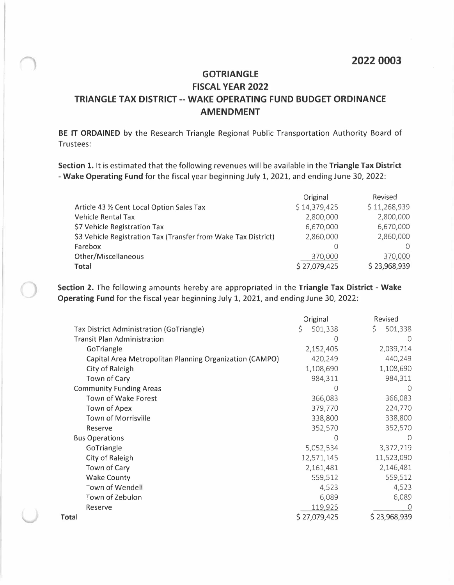## **GOTRIANGLE FISCAL YEAR 2022 TRIANGLE TAX DISTRICT -- WAKE OPERATING FUND BUDGET ORDINANCE AMENDMENT**

**BE IT ORDAINED** by the Research Triangle Regional Public Transportation Authority Board of Trustees:

**Section 1.** It is estimated that the following revenues will be available in the **Triangle Tax District - Wake Operating Fund** for the fiscal year beginning July 1, 2021, and ending June 30, 2022:

|                                                                | Original     | Revised      |
|----------------------------------------------------------------|--------------|--------------|
| Article 43 1/2 Cent Local Option Sales Tax                     | \$14,379,425 | \$11,268,939 |
| <b>Vehicle Rental Tax</b>                                      | 2,800,000    | 2,800,000    |
| \$7 Vehicle Registration Tax                                   | 6,670,000    | 6,670,000    |
| \$3 Vehicle Registration Tax (Transfer from Wake Tax District) | 2,860,000    | 2,860,000    |
| Farebox                                                        |              |              |
| Other/Miscellaneous                                            | 370,000      | 370,000      |
| <b>Total</b>                                                   | \$27,079,425 | \$23,968,939 |

**Section 2.** The following amounts hereby are appropriated in the **Triangle Tax District - Wake Operating Fund** for the fiscal year beginning July 1, 2021, and ending June 30, 2022:

|                                                         | Original      | Revised          |
|---------------------------------------------------------|---------------|------------------|
| Tax District Administration (GoTriangle)                | 501,338<br>\$ | \$<br>501,338    |
| <b>Transit Plan Administration</b>                      | 0             | $\left( \right)$ |
| GoTriangle                                              | 2,152,405     | 2,039,714        |
| Capital Area Metropolitan Planning Organization (CAMPO) | 420,249       | 440,249          |
| City of Raleigh                                         | 1,108,690     | 1,108,690        |
| Town of Cary                                            | 984,311       | 984,311          |
| <b>Community Funding Areas</b>                          | 0             | $\cup$           |
| Town of Wake Forest                                     | 366,083       | 366,083          |
| Town of Apex                                            | 379,770       | 224,770          |
| <b>Town of Morrisville</b>                              | 338,800       | 338,800          |
| Reserve                                                 | 352,570       | 352,570          |
| <b>Bus Operations</b>                                   | Ω             |                  |
| GoTriangle                                              | 5,052,534     | 3,372,719        |
| City of Raleigh                                         | 12,571,145    | 11,523,090       |
| Town of Cary                                            | 2,161,481     | 2,146,481        |
| <b>Wake County</b>                                      | 559,512       | 559,512          |
| Town of Wendell                                         | 4,523         | 4,523            |
| Town of Zebulon                                         | 6,089         | 6,089            |
| Reserve                                                 | 119,925       |                  |
| Total                                                   | \$27,079,425  | \$23,968,939     |